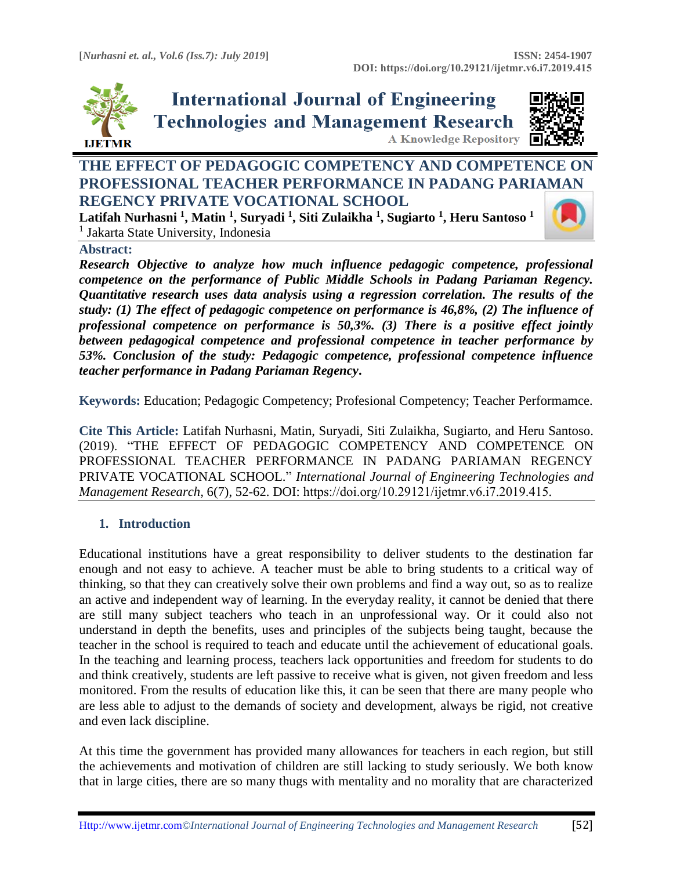

**International Journal of Engineering Technologies and Management Research A Knowledge Repository** 



# **THE EFFECT OF PEDAGOGIC COMPETENCY AND COMPETENCE ON PROFESSIONAL TEACHER PERFORMANCE IN PADANG PARI[AMAN](https://crossmark.crossref.org/dialog/?doi=10.29121/ijetmr.v6.i7.2019.415&domain=pdf&date_stamp=2019-07-31)  REGENCY PRIVATE VOCATIONAL SCHOOL**

**Latifah Nurhasni <sup>1</sup> , Matin <sup>1</sup> , Suryadi <sup>1</sup> , Siti Zulaikha <sup>1</sup> , Sugiarto <sup>1</sup> , Heru Santoso <sup>1</sup>** <sup>1</sup> Jakarta State University, Indonesia



#### **Abstract:**

*Research Objective to analyze how much influence pedagogic competence, professional competence on the performance of Public Middle Schools in Padang Pariaman Regency. Quantitative research uses data analysis using a regression correlation. The results of the study: (1) The effect of pedagogic competence on performance is 46,8%, (2) The influence of professional competence on performance is 50,3%. (3) There is a positive effect jointly between pedagogical competence and professional competence in teacher performance by 53%. Conclusion of the study: Pedagogic competence, professional competence influence teacher performance in Padang Pariaman Regency***.**

**Keywords:** Education; Pedagogic Competency; Profesional Competency; Teacher Performamce*.* 

**Cite This Article:** Latifah Nurhasni, Matin, Suryadi, Siti Zulaikha, Sugiarto, and Heru Santoso. (2019). "THE EFFECT OF PEDAGOGIC COMPETENCY AND COMPETENCE ON PROFESSIONAL TEACHER PERFORMANCE IN PADANG PARIAMAN REGENCY PRIVATE VOCATIONAL SCHOOL." *International Journal of Engineering Technologies and Management Research,* 6(7), 52-62. DOI: https://doi.org/10.29121/ijetmr.v6.i7.2019.415.

## **1. Introduction**

Educational institutions have a great responsibility to deliver students to the destination far enough and not easy to achieve. A teacher must be able to bring students to a critical way of thinking, so that they can creatively solve their own problems and find a way out, so as to realize an active and independent way of learning. In the everyday reality, it cannot be denied that there are still many subject teachers who teach in an unprofessional way. Or it could also not understand in depth the benefits, uses and principles of the subjects being taught, because the teacher in the school is required to teach and educate until the achievement of educational goals. In the teaching and learning process, teachers lack opportunities and freedom for students to do and think creatively, students are left passive to receive what is given, not given freedom and less monitored. From the results of education like this, it can be seen that there are many people who are less able to adjust to the demands of society and development, always be rigid, not creative and even lack discipline.

At this time the government has provided many allowances for teachers in each region, but still the achievements and motivation of children are still lacking to study seriously. We both know that in large cities, there are so many thugs with mentality and no morality that are characterized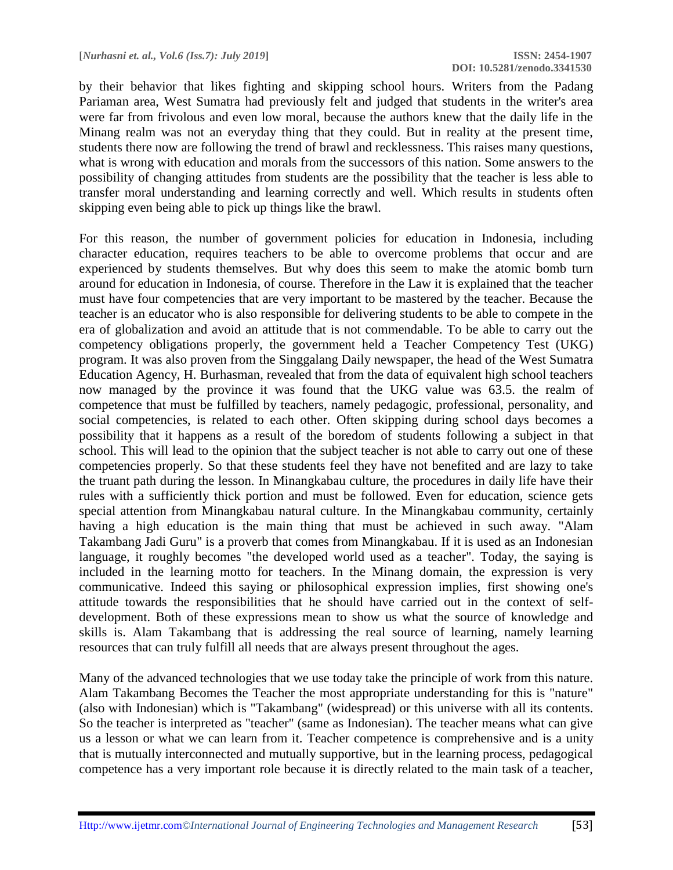by their behavior that likes fighting and skipping school hours. Writers from the Padang Pariaman area, West Sumatra had previously felt and judged that students in the writer's area were far from frivolous and even low moral, because the authors knew that the daily life in the Minang realm was not an everyday thing that they could. But in reality at the present time, students there now are following the trend of brawl and recklessness. This raises many questions, what is wrong with education and morals from the successors of this nation. Some answers to the possibility of changing attitudes from students are the possibility that the teacher is less able to transfer moral understanding and learning correctly and well. Which results in students often skipping even being able to pick up things like the brawl.

For this reason, the number of government policies for education in Indonesia, including character education, requires teachers to be able to overcome problems that occur and are experienced by students themselves. But why does this seem to make the atomic bomb turn around for education in Indonesia, of course. Therefore in the Law it is explained that the teacher must have four competencies that are very important to be mastered by the teacher. Because the teacher is an educator who is also responsible for delivering students to be able to compete in the era of globalization and avoid an attitude that is not commendable. To be able to carry out the competency obligations properly, the government held a Teacher Competency Test (UKG) program. It was also proven from the Singgalang Daily newspaper, the head of the West Sumatra Education Agency, H. Burhasman, revealed that from the data of equivalent high school teachers now managed by the province it was found that the UKG value was 63.5. the realm of competence that must be fulfilled by teachers, namely pedagogic, professional, personality, and social competencies, is related to each other. Often skipping during school days becomes a possibility that it happens as a result of the boredom of students following a subject in that school. This will lead to the opinion that the subject teacher is not able to carry out one of these competencies properly. So that these students feel they have not benefited and are lazy to take the truant path during the lesson. In Minangkabau culture, the procedures in daily life have their rules with a sufficiently thick portion and must be followed. Even for education, science gets special attention from Minangkabau natural culture. In the Minangkabau community, certainly having a high education is the main thing that must be achieved in such away. "Alam Takambang Jadi Guru" is a proverb that comes from Minangkabau. If it is used as an Indonesian language, it roughly becomes "the developed world used as a teacher". Today, the saying is included in the learning motto for teachers. In the Minang domain, the expression is very communicative. Indeed this saying or philosophical expression implies, first showing one's attitude towards the responsibilities that he should have carried out in the context of selfdevelopment. Both of these expressions mean to show us what the source of knowledge and skills is. Alam Takambang that is addressing the real source of learning, namely learning resources that can truly fulfill all needs that are always present throughout the ages.

Many of the advanced technologies that we use today take the principle of work from this nature. Alam Takambang Becomes the Teacher the most appropriate understanding for this is "nature" (also with Indonesian) which is "Takambang" (widespread) or this universe with all its contents. So the teacher is interpreted as "teacher" (same as Indonesian). The teacher means what can give us a lesson or what we can learn from it. Teacher competence is comprehensive and is a unity that is mutually interconnected and mutually supportive, but in the learning process, pedagogical competence has a very important role because it is directly related to the main task of a teacher,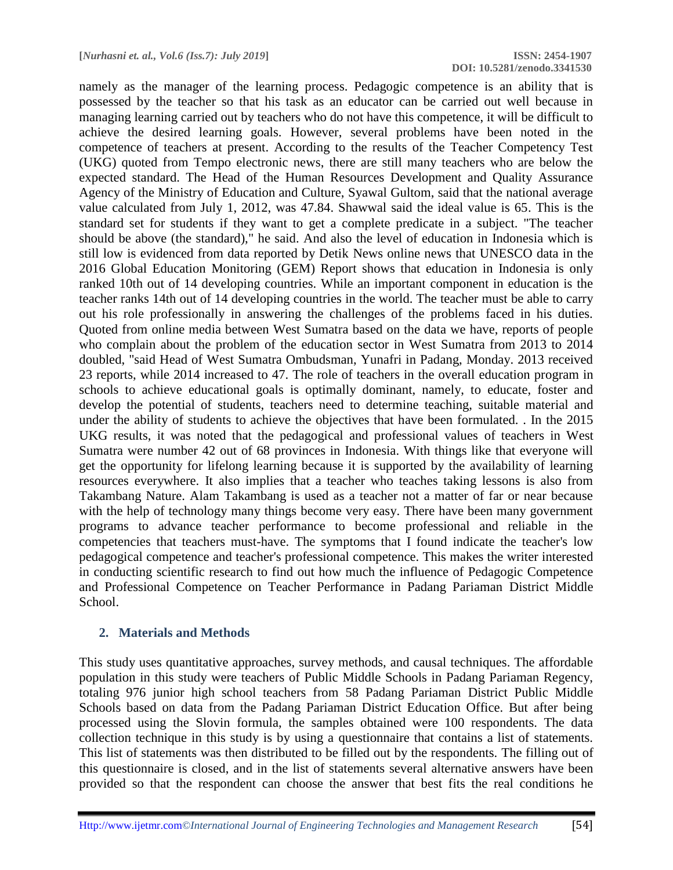namely as the manager of the learning process. Pedagogic competence is an ability that is possessed by the teacher so that his task as an educator can be carried out well because in managing learning carried out by teachers who do not have this competence, it will be difficult to achieve the desired learning goals. However, several problems have been noted in the competence of teachers at present. According to the results of the Teacher Competency Test (UKG) quoted from Tempo electronic news, there are still many teachers who are below the expected standard. The Head of the Human Resources Development and Quality Assurance Agency of the Ministry of Education and Culture, Syawal Gultom, said that the national average value calculated from July 1, 2012, was 47.84. Shawwal said the ideal value is 65. This is the standard set for students if they want to get a complete predicate in a subject. "The teacher should be above (the standard)," he said. And also the level of education in Indonesia which is still low is evidenced from data reported by Detik News online news that UNESCO data in the 2016 Global Education Monitoring (GEM) Report shows that education in Indonesia is only ranked 10th out of 14 developing countries. While an important component in education is the teacher ranks 14th out of 14 developing countries in the world. The teacher must be able to carry out his role professionally in answering the challenges of the problems faced in his duties. Quoted from online media between West Sumatra based on the data we have, reports of people who complain about the problem of the education sector in West Sumatra from 2013 to 2014 doubled, "said Head of West Sumatra Ombudsman, Yunafri in Padang, Monday. 2013 received 23 reports, while 2014 increased to 47. The role of teachers in the overall education program in schools to achieve educational goals is optimally dominant, namely, to educate, foster and develop the potential of students, teachers need to determine teaching, suitable material and under the ability of students to achieve the objectives that have been formulated. . In the 2015 UKG results, it was noted that the pedagogical and professional values of teachers in West Sumatra were number 42 out of 68 provinces in Indonesia. With things like that everyone will get the opportunity for lifelong learning because it is supported by the availability of learning resources everywhere. It also implies that a teacher who teaches taking lessons is also from Takambang Nature. Alam Takambang is used as a teacher not a matter of far or near because with the help of technology many things become very easy. There have been many government programs to advance teacher performance to become professional and reliable in the competencies that teachers must-have. The symptoms that I found indicate the teacher's low pedagogical competence and teacher's professional competence. This makes the writer interested in conducting scientific research to find out how much the influence of Pedagogic Competence and Professional Competence on Teacher Performance in Padang Pariaman District Middle School.

#### **2. Materials and Methods**

This study uses quantitative approaches, survey methods, and causal techniques. The affordable population in this study were teachers of Public Middle Schools in Padang Pariaman Regency, totaling 976 junior high school teachers from 58 Padang Pariaman District Public Middle Schools based on data from the Padang Pariaman District Education Office. But after being processed using the Slovin formula, the samples obtained were 100 respondents. The data collection technique in this study is by using a questionnaire that contains a list of statements. This list of statements was then distributed to be filled out by the respondents. The filling out of this questionnaire is closed, and in the list of statements several alternative answers have been provided so that the respondent can choose the answer that best fits the real conditions he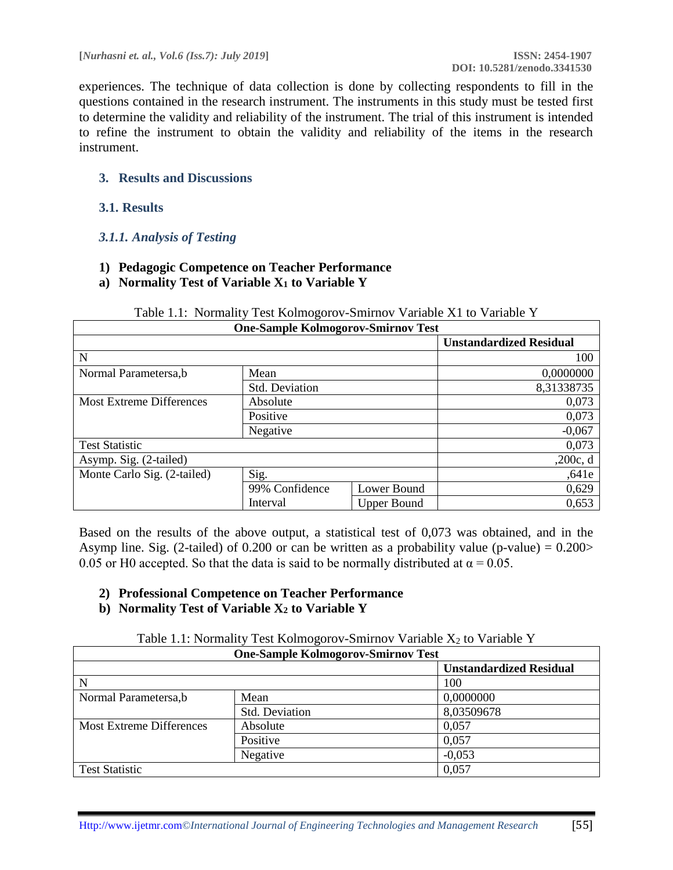experiences. The technique of data collection is done by collecting respondents to fill in the questions contained in the research instrument. The instruments in this study must be tested first to determine the validity and reliability of the instrument. The trial of this instrument is intended to refine the instrument to obtain the validity and reliability of the items in the research instrument.

#### **3. Results and Discussions**

#### **3.1. Results**

#### *3.1.1. Analysis of Testing*

- **1) Pedagogic Competence on Teacher Performance**
- **a) Normality Test of Variable X<sup>1</sup> to Variable Y**

|                                 | <b>One-Sample Kolmogorov-Smirnov Test</b> |                    |                                |
|---------------------------------|-------------------------------------------|--------------------|--------------------------------|
|                                 |                                           |                    | <b>Unstandardized Residual</b> |
| N                               |                                           |                    | 100                            |
| Normal Parametersa,b            | Mean                                      |                    | 0,0000000                      |
|                                 | Std. Deviation                            |                    | 8,31338735                     |
| <b>Most Extreme Differences</b> | Absolute                                  |                    | 0,073                          |
|                                 | Positive                                  |                    | 0,073                          |
|                                 | Negative                                  |                    | $-0,067$                       |
| <b>Test Statistic</b>           |                                           |                    | 0,073                          |
| Asymp. Sig. (2-tailed)          |                                           |                    | ,200c, d                       |
| Monte Carlo Sig. (2-tailed)     | Sig.                                      |                    | ,641e                          |
|                                 | 99% Confidence                            | Lower Bound        | 0,629                          |
|                                 | Interval                                  | <b>Upper Bound</b> | 0,653                          |

#### Table 1.1: Normality Test Kolmogorov-Smirnov Variable X1 to Variable Y

Based on the results of the above output, a statistical test of 0,073 was obtained, and in the Asymp line. Sig. (2-tailed) of 0.200 or can be written as a probability value (p-value) =  $0.200$ 0.05 or H0 accepted. So that the data is said to be normally distributed at  $\alpha = 0.05$ .

## **2) Professional Competence on Teacher Performance**

#### **b) Normality Test of Variable X<sup>2</sup> to Variable Y**

Table 1.1: Normality Test Kolmogorov-Smirnov Variable  $X_2$  to Variable Y

|                          | <b>One-Sample Kolmogorov-Smirnov Test</b> |                                |
|--------------------------|-------------------------------------------|--------------------------------|
|                          |                                           | <b>Unstandardized Residual</b> |
| N                        |                                           | 100                            |
| Normal Parametersa,b     | Mean                                      | 0,0000000                      |
|                          | Std. Deviation                            | 8,03509678                     |
| Most Extreme Differences | Absolute                                  | 0,057                          |
|                          | Positive                                  | 0,057                          |
|                          | Negative                                  | $-0,053$                       |
| <b>Test Statistic</b>    |                                           | 0,057                          |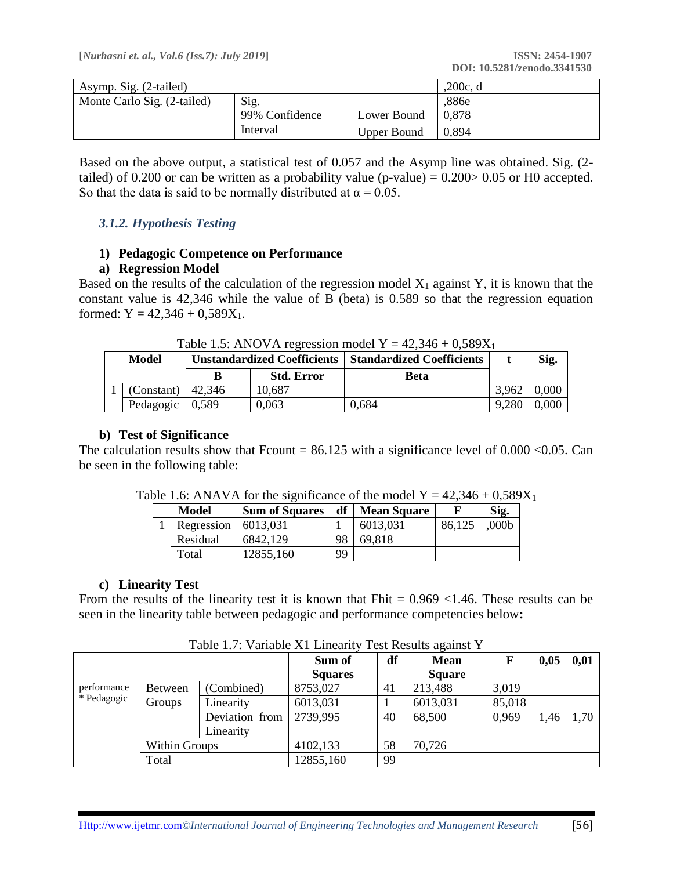| Asymp. Sig. (2-tailed)      | ,200c, d       |                    |       |
|-----------------------------|----------------|--------------------|-------|
| Monte Carlo Sig. (2-tailed) | Sig.           |                    | ,886e |
|                             | 99% Confidence |                    | 0.878 |
|                             | Interval       | <b>Upper Bound</b> | 0.894 |

Based on the above output, a statistical test of 0.057 and the Asymp line was obtained. Sig. (2 tailed) of 0.200 or can be written as a probability value (p-value) =  $0.200 > 0.05$  or H0 accepted. So that the data is said to be normally distributed at  $\alpha = 0.05$ .

## *3.1.2. Hypothesis Testing*

#### **1) Pedagogic Competence on Performance**

#### **a) Regression Model**

Based on the results of the calculation of the regression model  $X_1$  against Y, it is known that the constant value is 42,346 while the value of B (beta) is 0.589 so that the regression equation formed:  $Y = 42,346 + 0,589X_1$ .

| Model               |       |                   | <b>Unstandardized Coefficients   Standardized Coefficients</b> |       | Sig.  |
|---------------------|-------|-------------------|----------------------------------------------------------------|-------|-------|
|                     | В     | <b>Std. Error</b> | Beta                                                           |       |       |
| $(Constant)$ 42,346 |       | 10.687            |                                                                | 3.962 | 0.000 |
| Pedagogic           | 0,589 | 0.063             | 0,684                                                          | 9,280 | 0.000 |

Table 1.5: ANOVA regression model  $Y = 42,346 \pm 0,589X_1$ 

#### **b) Test of Significance**

The calculation results show that Fcount =  $86.125$  with a significance level of 0.000 <0.05. Can be seen in the following table:

| Model      | df<br><b>Sum of Squares</b> |    | <b>Mean Square</b> |        | Sig.             |
|------------|-----------------------------|----|--------------------|--------|------------------|
| Regression | 6013.031                    |    | 6013,031           | 86.125 | 000 <sub>b</sub> |
| Residual   | 6842,129                    | 98 | 69,818             |        |                  |
| Total      | 12855,160                   | 99 |                    |        |                  |

Table 1.6: ANAVA for the significance of the model  $Y = 42,346 + 0,589X_1$ 

#### **c) Linearity Test**

From the results of the linearity test it is known that Fhit  $= 0.969 \le 1.46$ . These results can be seen in the linearity table between pedagogic and performance competencies below**:**

|             |                |                | Sum of         | df | <b>Mean</b>   | F      | 0,05 | 0,01 |
|-------------|----------------|----------------|----------------|----|---------------|--------|------|------|
|             |                |                | <b>Squares</b> |    | <b>Square</b> |        |      |      |
| performance | <b>Between</b> | (Combined)     | 8753,027       | 41 | 213,488       | 3,019  |      |      |
| * Pedagogic | Groups         | Linearity      | 6013,031       |    | 6013,031      | 85,018 |      |      |
|             |                | Deviation from | 2739,995       | 40 | 68,500        | 0,969  | 1,46 | 1,70 |
|             |                | Linearity      |                |    |               |        |      |      |
|             | Within Groups  |                | 4102,133       | 58 | 70,726        |        |      |      |
|             | Total          |                | 12855,160      | 99 |               |        |      |      |

Table 1.7: Variable X1 Linearity Test Results against Y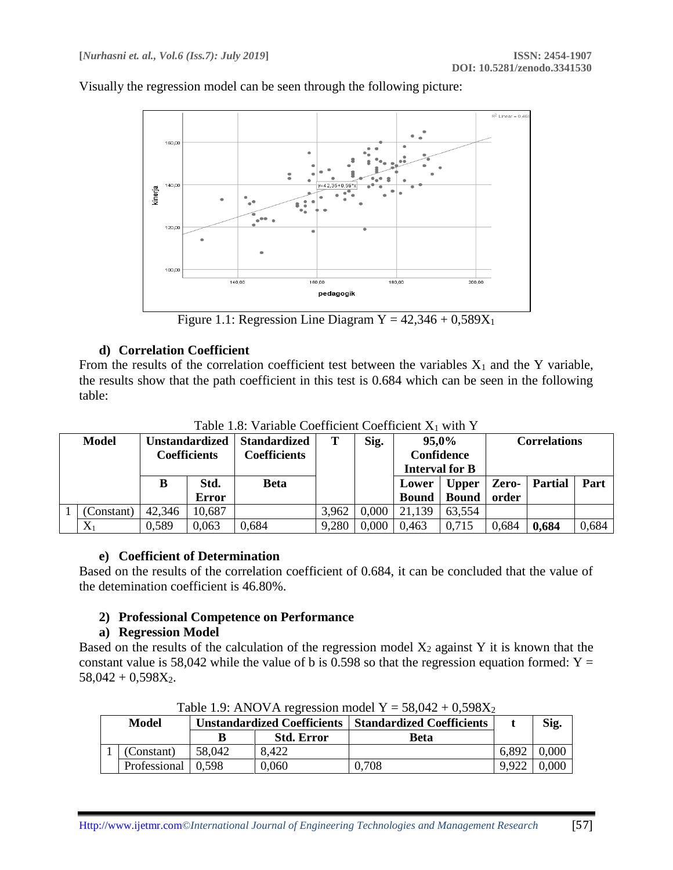Visually the regression model can be seen through the following picture:



Figure 1.1: Regression Line Diagram  $Y = 42,346 + 0,589X_1$ 

#### **d) Correlation Coefficient**

From the results of the correlation coefficient test between the variables  $X_1$  and the Y variable, the results show that the path coefficient in this test is 0.684 which can be seen in the following table:

|                |        |                       | Tuoto T.o. Turiuoto Coomonichi Coomonomi isti milli T |       |       |                   |                       |       |                     |       |
|----------------|--------|-----------------------|-------------------------------------------------------|-------|-------|-------------------|-----------------------|-------|---------------------|-------|
| <b>Model</b>   |        | <b>Unstandardized</b> | <b>Standardized</b>                                   |       | Sig.  | 95,0%             |                       |       | <b>Correlations</b> |       |
|                |        | <b>Coefficients</b>   | <b>Coefficients</b>                                   |       |       | <b>Confidence</b> |                       |       |                     |       |
|                |        |                       |                                                       |       |       |                   | <b>Interval for B</b> |       |                     |       |
|                | B      | Std.                  | <b>Beta</b>                                           |       |       | Lower             | <b>Upper</b>          | Zero- | <b>Partial</b>      | Part  |
|                |        | <b>Error</b>          |                                                       |       |       | <b>Bound</b>      | <b>Bound</b>          | order |                     |       |
| (Constant)     | 42,346 | 10,687                |                                                       | 3,962 | 0,000 | 21,139            | 63,554                |       |                     |       |
| $\mathbf{X}_1$ | 0.589  | 0,063                 | 0.684                                                 | 9,280 | 0.000 | 0,463             | 0.715                 | 0,684 | 0,684               | 0,684 |

Table 1.8: Variable Coefficient Coefficient  $X_1$  with Y

## **e) Coefficient of Determination**

Based on the results of the correlation coefficient of 0.684, it can be concluded that the value of the detemination coefficient is 46.80%.

## **2) Professional Competence on Performance**

#### **a) Regression Model**

Based on the results of the calculation of the regression model  $X_2$  against Y it is known that the constant value is 58,042 while the value of b is 0.598 so that the regression equation formed:  $Y =$  $58,042 + 0.598X_2$ .

| Model                |        | <b>1,4010 1.7.</b> THIS VIA RESIGNMENT ORGANIZE 1 0,070TL | <b>Unstandardized Coefficients   Standardized Coefficients</b> |       | Sig.  |
|----------------------|--------|-----------------------------------------------------------|----------------------------------------------------------------|-------|-------|
|                      |        | <b>Std. Error</b>                                         | <b>Beta</b>                                                    |       |       |
| (Constant)           | 58,042 | 8.422                                                     |                                                                | 6,892 | 0.000 |
| Professional   0,598 |        | 0.060                                                     | 0.708                                                          | 9,922 | 0.000 |

Table 1.9: ANOVA regression model  $Y = 58,042 \pm 0,598X_2$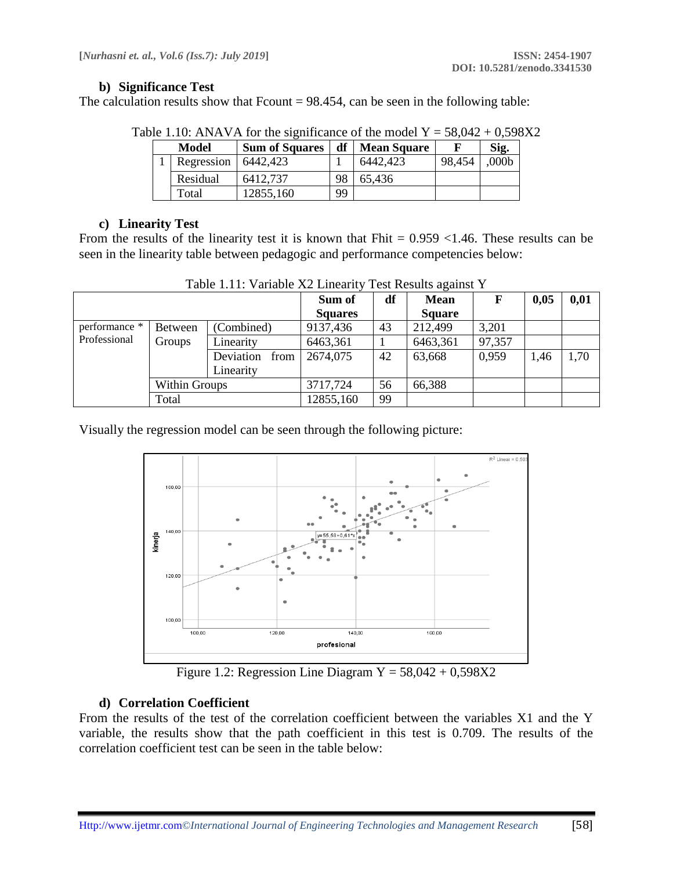#### **b) Significance Test**

The calculation results show that  $Fcount = 98.454$ , can be seen in the following table:

|       |                         | $\sigma$ . The state of the significance of the model $1 - 30.012 + 0.370$ . |    |                    |        |                   |
|-------|-------------------------|------------------------------------------------------------------------------|----|--------------------|--------|-------------------|
| Model |                         | <b>Sum of Squares</b>                                                        | df | <b>Mean Square</b> |        | Sig.              |
|       | Regression   $6442,423$ |                                                                              |    | 6442,423           | 98,454 | .000 <sub>b</sub> |
|       | Residual                | 6412,737                                                                     | 98 | 65,436             |        |                   |
|       | Total                   | 12855,160                                                                    | 99 |                    |        |                   |

Table 1.10: ANAVA for the significance of the model  $Y = 58,042 + 0.598X2$ 

#### **c) Linearity Test**

From the results of the linearity test it is known that Fhit  $= 0.959 \le 1.46$ . These results can be seen in the linearity table between pedagogic and performance competencies below:

|                        |               |                   | Sum of         | df | <b>Mean</b>   | F      | 0,05 | 0,01 |
|------------------------|---------------|-------------------|----------------|----|---------------|--------|------|------|
|                        |               |                   | <b>Squares</b> |    | <b>Square</b> |        |      |      |
| performance *          | Between       | (Combined)        | 9137,436       | 43 | 212,499       | 3,201  |      |      |
| Professional<br>Groups |               | Linearity         | 6463,361       |    | 6463,361      | 97,357 |      |      |
|                        |               | Deviation<br>from | 2674,075       | 42 | 63,668        | 0,959  | 1.46 | 1,70 |
|                        |               | Linearity         |                |    |               |        |      |      |
|                        | Within Groups |                   | 3717,724       | 56 | 66,388        |        |      |      |
| Total                  |               |                   | 12855,160      | 99 |               |        |      |      |

Table 1.11: Variable X2 Linearity Test Results against Y

Visually the regression model can be seen through the following picture:



Figure 1.2: Regression Line Diagram  $Y = 58,042 + 0,598X2$ 

## **d) Correlation Coefficient**

From the results of the test of the correlation coefficient between the variables X1 and the Y variable, the results show that the path coefficient in this test is 0.709. The results of the correlation coefficient test can be seen in the table below: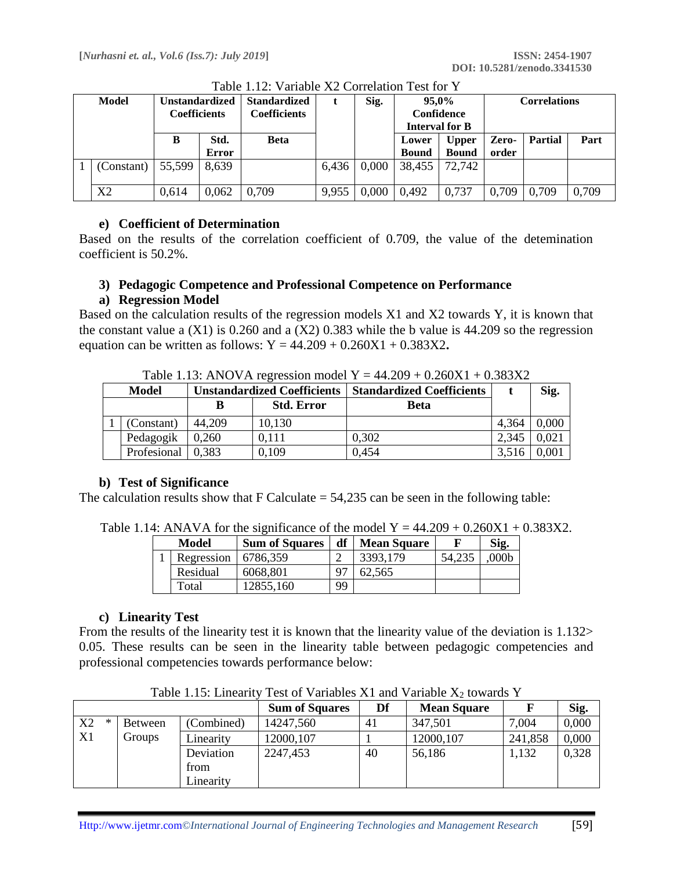| <b>Model</b>   | <b>Unstandardized</b><br><b>Coefficients</b> |              | <b>Standardized</b><br><b>Coefficients</b> |       | Sig.  | 95.0%<br>Confidence   |              | Correlations |                |       |
|----------------|----------------------------------------------|--------------|--------------------------------------------|-------|-------|-----------------------|--------------|--------------|----------------|-------|
|                |                                              |              |                                            |       |       | <b>Interval for B</b> |              |              |                |       |
|                | B                                            | Std.         | Beta                                       |       |       | Lower                 | <b>Upper</b> | Zero-        | <b>Partial</b> | Part  |
|                |                                              | <b>Error</b> |                                            |       |       | <b>Bound</b>          | <b>Bound</b> | order        |                |       |
| (Constant)     | 55,599                                       | 8.639        |                                            | 6,436 | 0.000 | 38,455                | 72,742       |              |                |       |
| X <sub>2</sub> | 0,614                                        | 0,062        | 0,709                                      | 9,955 | 0,000 | 0.492                 | 0,737        | 0,709        | 0,709          | 0,709 |

Table 1.12: Variable X2 Correlation Test for Y

## **e) Coefficient of Determination**

Based on the results of the correlation coefficient of 0.709, the value of the detemination coefficient is 50.2%.

## **3) Pedagogic Competence and Professional Competence on Performance**

## **a) Regression Model**

Based on the calculation results of the regression models X1 and X2 towards Y, it is known that the constant value a  $(X1)$  is 0.260 and a  $(X2)$  0.383 while the b value is 44.209 so the regression equation can be written as follows:  $Y = 44.209 + 0.260X1 + 0.383X2$ .

Table 1.13: ANOVA regression model  $Y = 44.209 + 0.260X1 + 0.383X2$ 

| Model       |        | <b>Unstandardized Coefficients</b> | <b>Standardized Coefficients</b> |       | Sig.  |
|-------------|--------|------------------------------------|----------------------------------|-------|-------|
|             | в      | <b>Std. Error</b>                  | Beta                             |       |       |
| (Constant)  | 44.209 | 10,130                             |                                  | 4,364 | 0,000 |
| Pedagogik   | 0.260  | 0,111                              | 0.302                            | 2.345 | 0,021 |
| Profesional | 0.383  | 0,109                              | 0.454                            | 3.516 | 0.001 |

## **b) Test of Significance**

The calculation results show that  $F$  Calculate  $= 54,235$  can be seen in the following table:

Table 1.14: ANAVA for the significance of the model  $Y = 44.209 + 0.260X1 + 0.383X2$ .

| Model |            | <b>Sum of Squares</b> | df | <b>Mean Square</b> |        | Sig.             |
|-------|------------|-----------------------|----|--------------------|--------|------------------|
|       | Regression | 6786,359              |    | 3393,179           | 54.235 | 000 <sub>b</sub> |
|       | Residual   | 6068,801              |    | 62.565             |        |                  |
|       | Total      | 12855,160             | 99 |                    |        |                  |

## **c) Linearity Test**

From the results of the linearity test it is known that the linearity value of the deviation is 1.132> 0.05. These results can be seen in the linearity table between pedagogic competencies and professional competencies towards performance below:

|    |   |               |            | <b>Sum of Squares</b> | Df | <b>Mean Square</b> |         | Sig.  |
|----|---|---------------|------------|-----------------------|----|--------------------|---------|-------|
| X2 | ∗ | Between       | (Combined) | 14247,560             | 41 | 347,501            | 7,004   | 0,000 |
| X1 |   | <b>Groups</b> | Linearity  | 12000, 107            |    | 12000, 107         | 241,858 | 0,000 |
|    |   |               | Deviation  | 2247,453              | 40 | 56,186             | 1,132   | 0.328 |
|    |   |               | from       |                       |    |                    |         |       |
|    |   |               | Linearity  |                       |    |                    |         |       |

Table 1.15: Linearity Test of Variables X1 and Variable  $X_2$  towards Y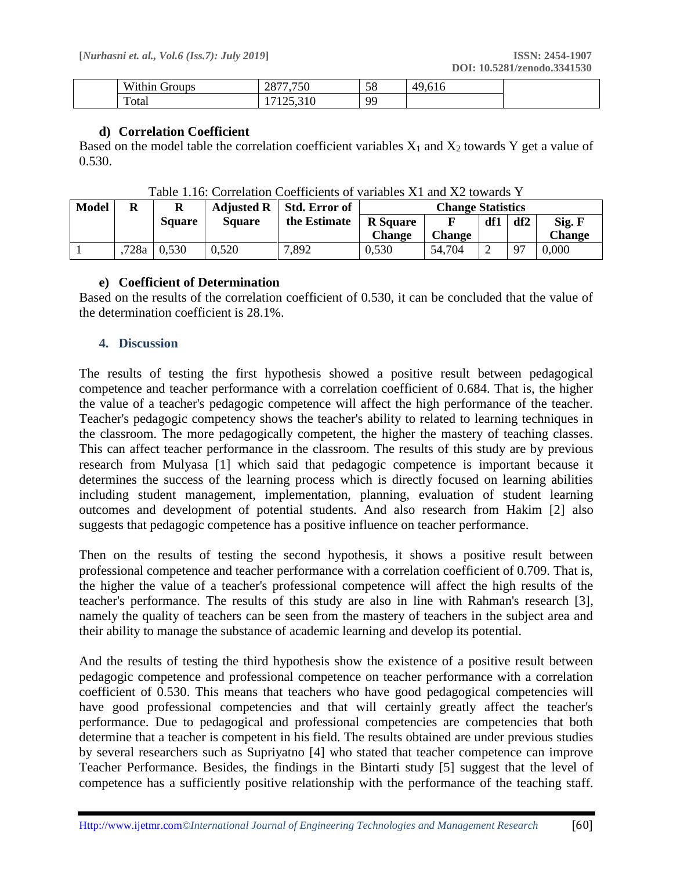|  | T T T<br>$\sim$<br>$W1^{++}$<br>oups<br>-- | $\overline{z}$<br>20.<br>-20    | $\sim$ $\sim$<br>Эŏ   | $\Lambda$ $\Omega$<br>- - - |
|--|--------------------------------------------|---------------------------------|-----------------------|-----------------------------|
|  | $\mathbf{r}$<br>Total                      | $\sim$ $\sim$<br>$-10$<br>1.7.7 | O <sub>C</sub><br>. . |                             |

#### **d) Correlation Coefficient**

Based on the model table the correlation coefficient variables  $X_1$  and  $X_2$  towards Y get a value of 0.530.

| <b>Model</b> | R    | R             | <b>Adjusted R</b> | Std. Error of | <b>Change Statistics</b> |        |        |     |               |
|--------------|------|---------------|-------------------|---------------|--------------------------|--------|--------|-----|---------------|
|              |      | <b>Square</b> | <b>Square</b>     | the Estimate  | <b>R</b> Square          |        | df1    | df2 | Sig. F        |
|              |      |               |                   |               | <b>Change</b>            | Change |        |     | <b>Change</b> |
|              | 728a | 0,530         | 0,520             | 7,892         | 0,530                    | 54,704 | $\sim$ | 97  | 0.000         |

Table 1.16: Correlation Coefficients of variables X1 and X2 towards Y

#### **e) Coefficient of Determination**

Based on the results of the correlation coefficient of 0.530, it can be concluded that the value of the determination coefficient is 28.1%.

#### **4. Discussion**

The results of testing the first hypothesis showed a positive result between pedagogical competence and teacher performance with a correlation coefficient of 0.684. That is, the higher the value of a teacher's pedagogic competence will affect the high performance of the teacher. Teacher's pedagogic competency shows the teacher's ability to related to learning techniques in the classroom. The more pedagogically competent, the higher the mastery of teaching classes. This can affect teacher performance in the classroom. The results of this study are by previous research from Mulyasa [1] which said that pedagogic competence is important because it determines the success of the learning process which is directly focused on learning abilities including student management, implementation, planning, evaluation of student learning outcomes and development of potential students. And also research from Hakim [2] also suggests that pedagogic competence has a positive influence on teacher performance.

Then on the results of testing the second hypothesis, it shows a positive result between professional competence and teacher performance with a correlation coefficient of 0.709. That is, the higher the value of a teacher's professional competence will affect the high results of the teacher's performance. The results of this study are also in line with Rahman's research [3], namely the quality of teachers can be seen from the mastery of teachers in the subject area and their ability to manage the substance of academic learning and develop its potential.

And the results of testing the third hypothesis show the existence of a positive result between pedagogic competence and professional competence on teacher performance with a correlation coefficient of 0.530. This means that teachers who have good pedagogical competencies will have good professional competencies and that will certainly greatly affect the teacher's performance. Due to pedagogical and professional competencies are competencies that both determine that a teacher is competent in his field. The results obtained are under previous studies by several researchers such as Supriyatno [4] who stated that teacher competence can improve Teacher Performance. Besides, the findings in the Bintarti study [5] suggest that the level of competence has a sufficiently positive relationship with the performance of the teaching staff.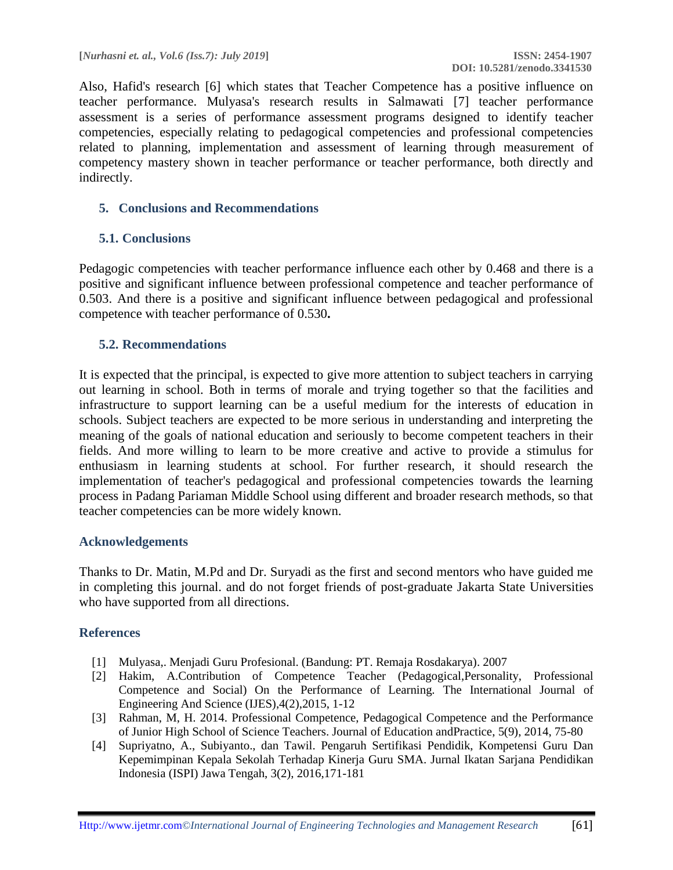Also, Hafid's research [6] which states that Teacher Competence has a positive influence on teacher performance. Mulyasa's research results in Salmawati [7] teacher performance assessment is a series of performance assessment programs designed to identify teacher competencies, especially relating to pedagogical competencies and professional competencies related to planning, implementation and assessment of learning through measurement of competency mastery shown in teacher performance or teacher performance, both directly and indirectly.

## **5. Conclusions and Recommendations**

## **5.1. Conclusions**

Pedagogic competencies with teacher performance influence each other by 0.468 and there is a positive and significant influence between professional competence and teacher performance of 0.503. And there is a positive and significant influence between pedagogical and professional competence with teacher performance of 0.530**.**

## **5.2. Recommendations**

It is expected that the principal, is expected to give more attention to subject teachers in carrying out learning in school. Both in terms of morale and trying together so that the facilities and infrastructure to support learning can be a useful medium for the interests of education in schools. Subject teachers are expected to be more serious in understanding and interpreting the meaning of the goals of national education and seriously to become competent teachers in their fields. And more willing to learn to be more creative and active to provide a stimulus for enthusiasm in learning students at school. For further research, it should research the implementation of teacher's pedagogical and professional competencies towards the learning process in Padang Pariaman Middle School using different and broader research methods, so that teacher competencies can be more widely known.

#### **Acknowledgements**

Thanks to Dr. Matin, M.Pd and Dr. Suryadi as the first and second mentors who have guided me in completing this journal. and do not forget friends of post-graduate Jakarta State Universities who have supported from all directions.

## **References**

- [1] Mulyasa,. Menjadi Guru Profesional. (Bandung: PT. Remaja Rosdakarya). 2007
- [2] Hakim, A.Contribution of Competence Teacher (Pedagogical,Personality, Professional Competence and Social) On the Performance of Learning. The International Journal of Engineering And Science (IJES),4(2),2015, 1-12
- [3] Rahman, M, H. 2014. Professional Competence, Pedagogical Competence and the Performance of Junior High School of Science Teachers. Journal of Education andPractice, 5(9), 2014, 75-80
- [4] Supriyatno, A., Subiyanto., dan Tawil. Pengaruh Sertifikasi Pendidik, Kompetensi Guru Dan Kepemimpinan Kepala Sekolah Terhadap Kinerja Guru SMA. Jurnal Ikatan Sarjana Pendidikan Indonesia (ISPI) Jawa Tengah, 3(2), 2016,171-181